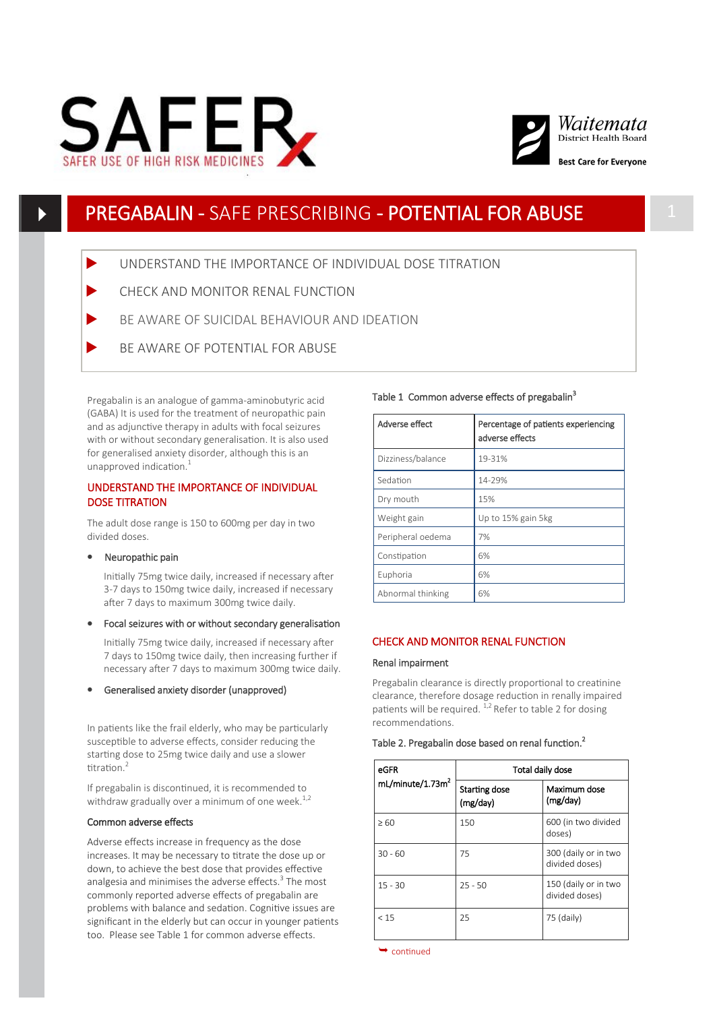



# PREGABALIN - SAFE PRESCRIBING - POTENTIAL FOR ABUSE

UNDERSTAND THE IMPORTANCE OF INDIVIDUAL DOSE TITRATION

- CHECK AND MONITOR RENAL FUNCTION
- BE AWARE OF SUICIDAL BEHAVIOUR AND IDEATION
- BE AWARE OF POTENTIAL FOR ABUSE

Pregabalin is an analogue of gamma-aminobutyric acid (GABA) It is used for the treatment of neuropathic pain and as adjunctive therapy in adults with focal seizures with or without secondary generalisation. It is also used for generalised anxiety disorder, although this is an unapproved indication.<sup>1</sup>

## UNDERSTAND THE IMPORTANCE OF INDIVIDUAL DOSE TITRATION

The adult dose range is 150 to 600mg per day in two divided doses.

## • Neuropathic pain

Initially 75mg twice daily, increased if necessary after 3-7 days to 150mg twice daily, increased if necessary after 7 days to maximum 300mg twice daily.

Focal seizures with or without secondary generalisation

Initially 75mg twice daily, increased if necessary after 7 days to 150mg twice daily, then increasing further if necessary after 7 days to maximum 300mg twice daily.

Generalised anxiety disorder (unapproved)

In patients like the frail elderly, who may be particularly susceptible to adverse effects, consider reducing the starting dose to 25mg twice daily and use a slower titration.<sup>2</sup>

If pregabalin is discontinued, it is recommended to withdraw gradually over a minimum of one week. $^{1,2}$ 

### Common adverse effects

Adverse effects increase in frequency as the dose increases. It may be necessary to titrate the dose up or down, to achieve the best dose that provides effective analgesia and minimises the adverse effects.<sup>3</sup> The most commonly reported adverse effects of pregabalin are problems with balance and sedation. Cognitive issues are significant in the elderly but can occur in younger patients too. Please see Table 1 for common adverse effects.

## Table 1 Common adverse effects of pregabalin<sup>3</sup>

| Adverse effect    | Percentage of patients experiencing<br>adverse effects |
|-------------------|--------------------------------------------------------|
| Dizziness/balance | 19-31%                                                 |
| Sedation          | 14-29%                                                 |
| Dry mouth         | 15%                                                    |
| Weight gain       | Up to 15% gain 5kg                                     |
| Peripheral oedema | 7%                                                     |
| Constipation      | 6%                                                     |
| Euphoria          | 6%                                                     |
| Abnormal thinking | 6%                                                     |

## CHECK AND MONITOR RENAL FUNCTION

### Renal impairment

Pregabalin clearance is directly proportional to creatinine clearance, therefore dosage reduction in renally impaired patients will be required.  $^{1,2}$  Refer to table 2 for dosing recommendations.

## Table 2. Pregabalin dose based on renal function.<sup>2</sup>

| eGFR                         | Total daily dose          |                                        |
|------------------------------|---------------------------|----------------------------------------|
| mL/minute/1.73m <sup>2</sup> | Starting dose<br>(mg/day) | Maximum dose<br>(mg/day)               |
| $\geq 60$                    | 150                       | 600 (in two divided<br>doses)          |
| $30 - 60$                    | 75                        | 300 (daily or in two<br>divided doses) |
| $15 - 30$                    | $25 - 50$                 | 150 (daily or in two<br>divided doses) |
| < 15                         | 25                        | 75 (daily)                             |

 $\rightarrow$  continued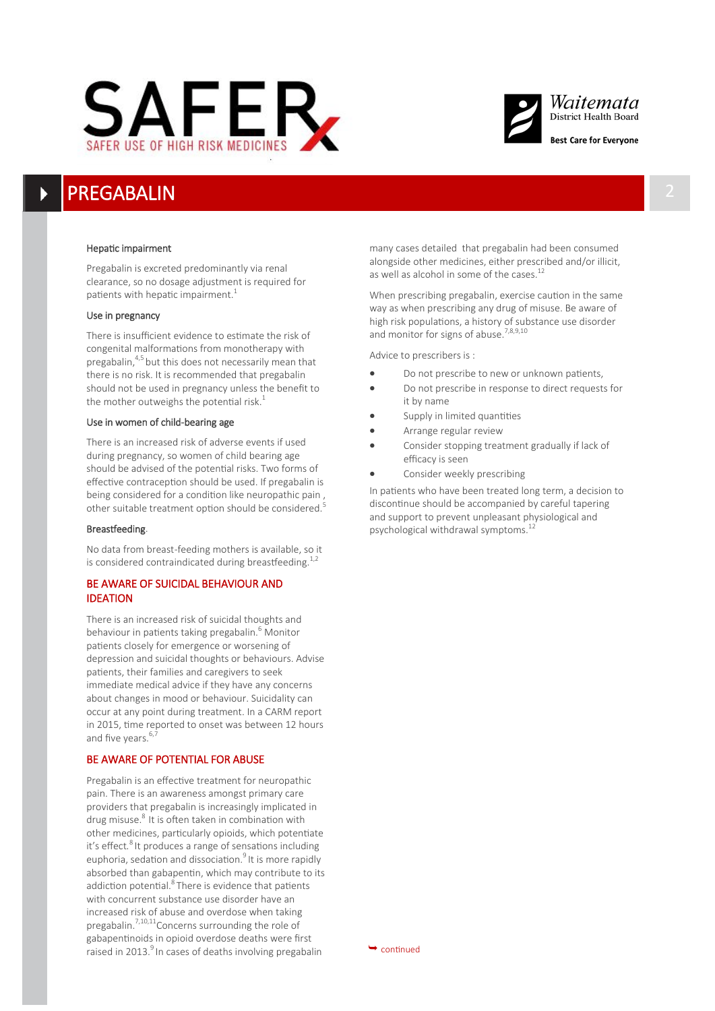



# **PREGABALIN**

### Hepatic impairment

Pregabalin is excreted predominantly via renal clearance, so no dosage adjustment is required for patients with hepatic impairment.<sup>1</sup>

### Use in pregnancy

There is insufficient evidence to estimate the risk of congenital malformations from monotherapy with pregabalin, $4.5$  but this does not necessarily mean that there is no risk. It is recommended that pregabalin should not be used in pregnancy unless the benefit to the mother outweighs the potential risk. $1$ 

## Use in women of child-bearing age

There is an increased risk of adverse events if used during pregnancy, so women of child bearing age should be advised of the potential risks. Two forms of effective contraception should be used. If pregabalin is being considered for a condition like neuropathic pain , other suitable treatment option should be considered.<sup>5</sup>

#### Breastfeeding.

No data from breast-feeding mothers is available, so it is considered contraindicated during breastfeeding.<sup>1,2</sup>

## BE AWARE OF SUICIDAL BEHAVIOUR AND IDEATION

There is an increased risk of suicidal thoughts and behaviour in patients taking pregabalin.<sup>6</sup> Monitor patients closely for emergence or worsening of depression and suicidal thoughts or behaviours. Advise patients, their families and caregivers to seek immediate medical advice if they have any concerns about changes in mood or behaviour. Suicidality can occur at any point during treatment. In a CARM report in 2015, time reported to onset was between 12 hours and five years.<sup>6,</sup>

## BE AWARE OF POTENTIAL FOR ABUSE

Pregabalin is an effective treatment for neuropathic pain. There is an awareness amongst primary care providers that pregabalin is increasingly implicated in drug misuse.<sup>8</sup> It is often taken in combination with other medicines, particularly opioids, which potentiate it's effect.<sup>8</sup> It produces a range of sensations including euphoria, sedation and dissociation.<sup>9</sup> It is more rapidly absorbed than gabapentin, which may contribute to its addiction potential.<sup>8</sup> There is evidence that patients with concurrent substance use disorder have an increased risk of abuse and overdose when taking pregabalin.<sup>7,10,11</sup>Concerns surrounding the role of gabapentinoids in opioid overdose deaths were first raised in 2013.<sup>9</sup> In cases of deaths involving pregabalin  $\rightarrow$  continued

many cases detailed that pregabalin had been consumed alongside other medicines, either prescribed and/or illicit, as well as alcohol in some of the cases. $^{12}$ 

When prescribing pregabalin, exercise caution in the same way as when prescribing any drug of misuse. Be aware of high risk populations, a history of substance use disorder and monitor for signs of abuse.<sup>7,8,9,10</sup>

Advice to prescribers is :

- Do not prescribe to new or unknown patients,
- Do not prescribe in response to direct requests for it by name
- Supply in limited quantities
- Arrange regular review
- Consider stopping treatment gradually if lack of efficacy is seen
- Consider weekly prescribing

In patients who have been treated long term, a decision to discontinue should be accompanied by careful tapering and support to prevent unpleasant physiological and psychological withdrawal symptoms.<sup>12</sup>